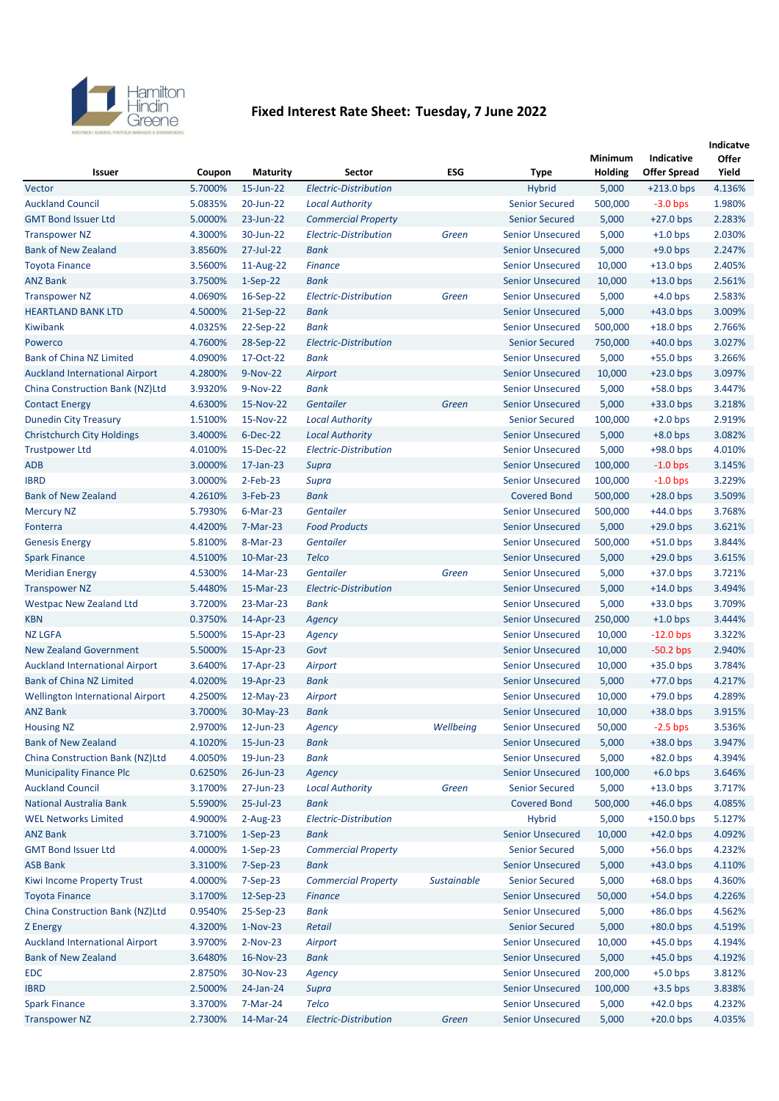

## **Fixed Interest Rate Sheet: Tuesday, 7 June 2022**

|                                         |         |                 |                              |             |                         |         |                     | Indicatve |
|-----------------------------------------|---------|-----------------|------------------------------|-------------|-------------------------|---------|---------------------|-----------|
|                                         |         |                 |                              |             |                         | Minimum | Indicative          | Offer     |
| Issuer                                  | Coupon  | <b>Maturity</b> | <b>Sector</b>                | <b>ESG</b>  | <b>Type</b>             | Holding | <b>Offer Spread</b> | Yield     |
| Vector                                  | 5.7000% | 15-Jun-22       | <b>Electric-Distribution</b> |             | <b>Hybrid</b>           | 5,000   | $+213.0$ bps        | 4.136%    |
| <b>Auckland Council</b>                 | 5.0835% | 20-Jun-22       | <b>Local Authority</b>       |             | <b>Senior Secured</b>   | 500,000 | $-3.0$ bps          | 1.980%    |
| <b>GMT Bond Issuer Ltd</b>              | 5.0000% | 23-Jun-22       | <b>Commercial Property</b>   |             | <b>Senior Secured</b>   | 5,000   | $+27.0$ bps         | 2.283%    |
| <b>Transpower NZ</b>                    | 4.3000% | 30-Jun-22       | <b>Electric-Distribution</b> | Green       | <b>Senior Unsecured</b> | 5,000   | $+1.0$ bps          | 2.030%    |
| <b>Bank of New Zealand</b>              | 3.8560% | 27-Jul-22       | <b>Bank</b>                  |             | <b>Senior Unsecured</b> | 5,000   | $+9.0$ bps          | 2.247%    |
| <b>Toyota Finance</b>                   | 3.5600% | 11-Aug-22       | <b>Finance</b>               |             | <b>Senior Unsecured</b> | 10,000  | $+13.0$ bps         | 2.405%    |
| <b>ANZ Bank</b>                         | 3.7500% | $1-Sep-22$      | <b>Bank</b>                  |             | <b>Senior Unsecured</b> | 10,000  | $+13.0$ bps         | 2.561%    |
| <b>Transpower NZ</b>                    | 4.0690% | 16-Sep-22       | <b>Electric-Distribution</b> | Green       | <b>Senior Unsecured</b> | 5,000   | $+4.0$ bps          | 2.583%    |
| <b>HEARTLAND BANK LTD</b>               | 4.5000% | 21-Sep-22       | <b>Bank</b>                  |             | <b>Senior Unsecured</b> | 5,000   | $+43.0$ bps         | 3.009%    |
| Kiwibank                                | 4.0325% | 22-Sep-22       | <b>Bank</b>                  |             | <b>Senior Unsecured</b> | 500,000 | $+18.0$ bps         | 2.766%    |
| Powerco                                 | 4.7600% | 28-Sep-22       | <b>Electric-Distribution</b> |             | <b>Senior Secured</b>   | 750,000 | $+40.0$ bps         | 3.027%    |
| <b>Bank of China NZ Limited</b>         | 4.0900% | 17-Oct-22       | <b>Bank</b>                  |             | <b>Senior Unsecured</b> | 5,000   | $+55.0$ bps         | 3.266%    |
| <b>Auckland International Airport</b>   | 4.2800% | $9-Nov-22$      | Airport                      |             | <b>Senior Unsecured</b> | 10,000  | $+23.0$ bps         | 3.097%    |
| China Construction Bank (NZ)Ltd         | 3.9320% | 9-Nov-22        | <b>Bank</b>                  |             | <b>Senior Unsecured</b> | 5,000   | $+58.0$ bps         | 3.447%    |
| <b>Contact Energy</b>                   | 4.6300% | 15-Nov-22       | Gentailer                    | Green       | <b>Senior Unsecured</b> | 5,000   | $+33.0$ bps         | 3.218%    |
| <b>Dunedin City Treasury</b>            | 1.5100% | 15-Nov-22       | <b>Local Authority</b>       |             | <b>Senior Secured</b>   | 100,000 | $+2.0$ bps          | 2.919%    |
| <b>Christchurch City Holdings</b>       | 3.4000% | $6-Dec-22$      | <b>Local Authority</b>       |             | <b>Senior Unsecured</b> | 5,000   | $+8.0$ bps          | 3.082%    |
| <b>Trustpower Ltd</b>                   | 4.0100% | 15-Dec-22       | <b>Electric-Distribution</b> |             | <b>Senior Unsecured</b> | 5,000   | $+98.0$ bps         | 4.010%    |
| <b>ADB</b>                              | 3.0000% | $17$ -Jan-23    | Supra                        |             | <b>Senior Unsecured</b> | 100,000 | $-1.0$ bps          | 3.145%    |
| <b>IBRD</b>                             | 3.0000% | $2$ -Feb-23     | Supra                        |             | <b>Senior Unsecured</b> | 100,000 | $-1.0$ bps          | 3.229%    |
| <b>Bank of New Zealand</b>              | 4.2610% | 3-Feb-23        | <b>Bank</b>                  |             | <b>Covered Bond</b>     | 500,000 | $+28.0$ bps         | 3.509%    |
| <b>Mercury NZ</b>                       | 5.7930% | 6-Mar-23        | Gentailer                    |             | <b>Senior Unsecured</b> | 500,000 | $+44.0$ bps         | 3.768%    |
| Fonterra                                | 4.4200% | 7-Mar-23        | <b>Food Products</b>         |             | <b>Senior Unsecured</b> | 5,000   | $+29.0$ bps         | 3.621%    |
| <b>Genesis Energy</b>                   | 5.8100% | 8-Mar-23        | Gentailer                    |             | <b>Senior Unsecured</b> | 500,000 | $+51.0$ bps         | 3.844%    |
| <b>Spark Finance</b>                    | 4.5100% | 10-Mar-23       | <b>Telco</b>                 |             | <b>Senior Unsecured</b> | 5,000   | $+29.0$ bps         | 3.615%    |
| <b>Meridian Energy</b>                  | 4.5300% | 14-Mar-23       | Gentailer                    | Green       | <b>Senior Unsecured</b> | 5,000   | $+37.0$ bps         | 3.721%    |
| <b>Transpower NZ</b>                    | 5.4480% | 15-Mar-23       | Electric-Distribution        |             | <b>Senior Unsecured</b> | 5,000   | $+14.0$ bps         | 3.494%    |
| <b>Westpac New Zealand Ltd</b>          | 3.7200% | 23-Mar-23       | Bank                         |             | <b>Senior Unsecured</b> | 5,000   | $+33.0$ bps         | 3.709%    |
| <b>KBN</b>                              | 0.3750% | 14-Apr-23       | Agency                       |             | <b>Senior Unsecured</b> | 250,000 | $+1.0$ bps          | 3.444%    |
| <b>NZ LGFA</b>                          | 5.5000% | 15-Apr-23       | Agency                       |             | <b>Senior Unsecured</b> | 10,000  | $-12.0$ bps         | 3.322%    |
| <b>New Zealand Government</b>           | 5.5000% | 15-Apr-23       | Govt                         |             | <b>Senior Unsecured</b> | 10,000  | $-50.2$ bps         | 2.940%    |
| <b>Auckland International Airport</b>   | 3.6400% | 17-Apr-23       | Airport                      |             | <b>Senior Unsecured</b> | 10,000  | $+35.0$ bps         | 3.784%    |
| <b>Bank of China NZ Limited</b>         | 4.0200% | 19-Apr-23       | <b>Bank</b>                  |             | <b>Senior Unsecured</b> | 5,000   | $+77.0$ bps         | 4.217%    |
| <b>Wellington International Airport</b> | 4.2500% | $12$ -May-23    | Airport                      |             | <b>Senior Unsecured</b> | 10,000  | $+79.0$ bps         | 4.289%    |
| <b>ANZ Bank</b>                         | 3.7000% | 30-May-23       | <b>Bank</b>                  |             | <b>Senior Unsecured</b> | 10,000  | $+38.0$ bps         | 3.915%    |
| <b>Housing NZ</b>                       | 2.9700% | $12$ -Jun-23    | Agency                       | Wellbeing   | <b>Senior Unsecured</b> | 50,000  | $-2.5$ bps          | 3.536%    |
| <b>Bank of New Zealand</b>              | 4.1020% | 15-Jun-23       | Bank                         |             | <b>Senior Unsecured</b> | 5,000   | $+38.0$ bps         | 3.947%    |
| China Construction Bank (NZ)Ltd         | 4.0050% | 19-Jun-23       | Bank                         |             | <b>Senior Unsecured</b> | 5,000   | $+82.0$ bps         | 4.394%    |
| <b>Municipality Finance Plc</b>         | 0.6250% | 26-Jun-23       | Agency                       |             | <b>Senior Unsecured</b> | 100,000 | $+6.0$ bps          | 3.646%    |
| <b>Auckland Council</b>                 | 3.1700% | 27-Jun-23       | <b>Local Authority</b>       | Green       | <b>Senior Secured</b>   | 5,000   | $+13.0$ bps         | 3.717%    |
| <b>National Australia Bank</b>          | 5.5900% | 25-Jul-23       | Bank                         |             | <b>Covered Bond</b>     | 500,000 | $+46.0$ bps         | 4.085%    |
| <b>WEL Networks Limited</b>             | 4.9000% | $2-Aug-23$      | Electric-Distribution        |             | <b>Hybrid</b>           | 5,000   | $+150.0$ bps        | 5.127%    |
| <b>ANZ Bank</b>                         | 3.7100% | $1-Sep-23$      | Bank                         |             | <b>Senior Unsecured</b> | 10,000  | $+42.0$ bps         | 4.092%    |
| <b>GMT Bond Issuer Ltd</b>              | 4.0000% | $1-Sep-23$      | <b>Commercial Property</b>   |             | <b>Senior Secured</b>   | 5,000   | $+56.0$ bps         | 4.232%    |
| <b>ASB Bank</b>                         | 3.3100% | $7-Sep-23$      | Bank                         |             | <b>Senior Unsecured</b> | 5,000   | $+43.0$ bps         | 4.110%    |
| Kiwi Income Property Trust              | 4.0000% | $7-Sep-23$      | <b>Commercial Property</b>   | Sustainable | <b>Senior Secured</b>   | 5,000   | $+68.0$ bps         | 4.360%    |
| <b>Toyota Finance</b>                   | 3.1700% | 12-Sep-23       | <b>Finance</b>               |             | <b>Senior Unsecured</b> | 50,000  | $+54.0$ bps         | 4.226%    |
| China Construction Bank (NZ)Ltd         | 0.9540% | 25-Sep-23       | Bank                         |             | <b>Senior Unsecured</b> | 5,000   | $+86.0$ bps         | 4.562%    |
| Z Energy                                | 4.3200% | $1-Nov-23$      | Retail                       |             | <b>Senior Secured</b>   | 5,000   | $+80.0$ bps         | 4.519%    |
| <b>Auckland International Airport</b>   | 3.9700% | $2-Nov-23$      | Airport                      |             | <b>Senior Unsecured</b> | 10,000  | $+45.0$ bps         | 4.194%    |
| <b>Bank of New Zealand</b>              | 3.6480% | 16-Nov-23       | Bank                         |             | <b>Senior Unsecured</b> | 5,000   | $+45.0$ bps         | 4.192%    |
| <b>EDC</b>                              | 2.8750% | 30-Nov-23       | Agency                       |             | <b>Senior Unsecured</b> | 200,000 | $+5.0$ bps          | 3.812%    |
| <b>IBRD</b>                             | 2.5000% | 24-Jan-24       | Supra                        |             | <b>Senior Unsecured</b> | 100,000 | $+3.5$ bps          | 3.838%    |
| <b>Spark Finance</b>                    | 3.3700% | 7-Mar-24        | <b>Telco</b>                 |             | <b>Senior Unsecured</b> | 5,000   | $+42.0$ bps         | 4.232%    |
| <b>Transpower NZ</b>                    | 2.7300% | 14-Mar-24       | <b>Electric-Distribution</b> | Green       | <b>Senior Unsecured</b> | 5,000   | $+20.0$ bps         | 4.035%    |
|                                         |         |                 |                              |             |                         |         |                     |           |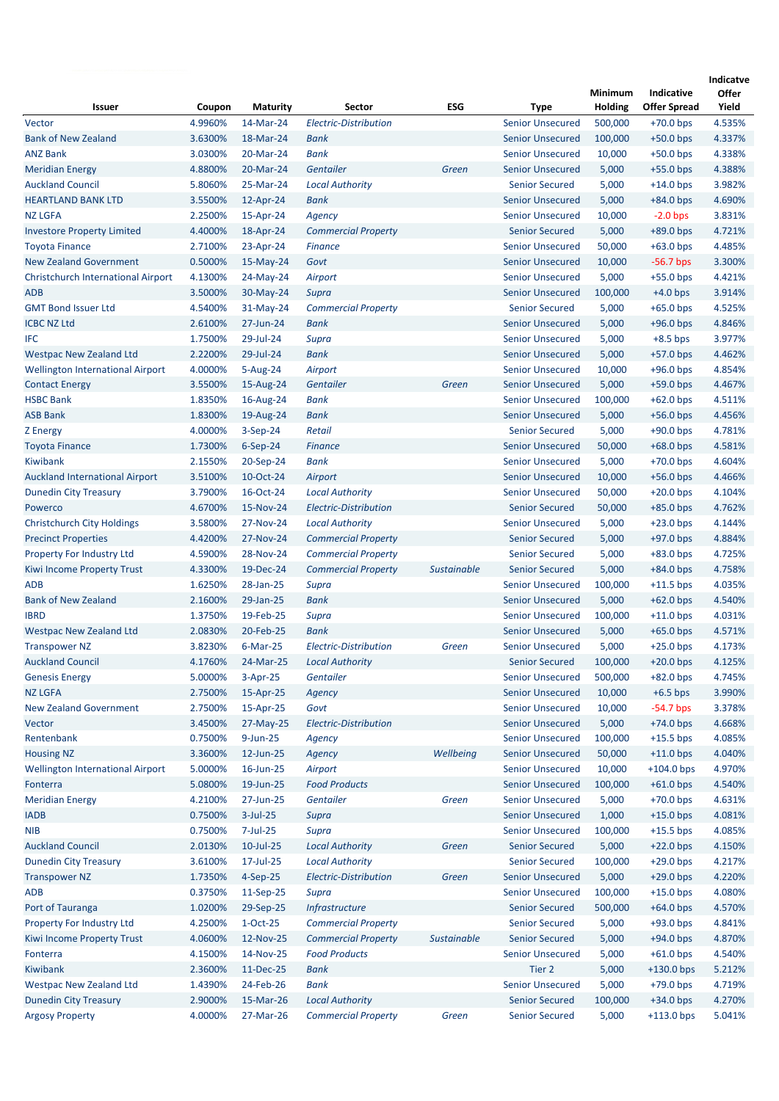|                                           |         |                 |                              |                    |                         | <b>Minimum</b> | Indicative          | Indicatve<br>Offer |
|-------------------------------------------|---------|-----------------|------------------------------|--------------------|-------------------------|----------------|---------------------|--------------------|
| Issuer                                    | Coupon  | <b>Maturity</b> | <b>Sector</b>                | ESG                | Type                    | Holding        | <b>Offer Spread</b> | Yield              |
| Vector                                    | 4.9960% | 14-Mar-24       | <b>Electric-Distribution</b> |                    | <b>Senior Unsecured</b> | 500,000        | $+70.0$ bps         | 4.535%             |
| <b>Bank of New Zealand</b>                | 3.6300% | 18-Mar-24       | Bank                         |                    | <b>Senior Unsecured</b> | 100,000        | $+50.0$ bps         | 4.337%             |
| <b>ANZ Bank</b>                           | 3.0300% | 20-Mar-24       | <b>Bank</b>                  |                    | <b>Senior Unsecured</b> | 10,000         | $+50.0$ bps         | 4.338%             |
| <b>Meridian Energy</b>                    | 4.8800% | 20-Mar-24       | <b>Gentailer</b>             | Green              | <b>Senior Unsecured</b> | 5,000          | $+55.0$ bps         | 4.388%             |
| <b>Auckland Council</b>                   | 5.8060% | 25-Mar-24       | <b>Local Authority</b>       |                    | <b>Senior Secured</b>   | 5,000          | $+14.0$ bps         | 3.982%             |
| <b>HEARTLAND BANK LTD</b>                 | 3.5500% | 12-Apr-24       | Bank                         |                    | <b>Senior Unsecured</b> | 5,000          | $+84.0$ bps         | 4.690%             |
| <b>NZ LGFA</b>                            | 2.2500% | 15-Apr-24       | Agency                       |                    | <b>Senior Unsecured</b> | 10,000         | $-2.0$ bps          | 3.831%             |
| <b>Investore Property Limited</b>         | 4.4000% | 18-Apr-24       | <b>Commercial Property</b>   |                    | <b>Senior Secured</b>   | 5,000          | $+89.0$ bps         | 4.721%             |
| <b>Toyota Finance</b>                     | 2.7100% | 23-Apr-24       | <b>Finance</b>               |                    | <b>Senior Unsecured</b> | 50,000         | $+63.0$ bps         | 4.485%             |
| <b>New Zealand Government</b>             | 0.5000% | 15-May-24       | Govt                         |                    | <b>Senior Unsecured</b> | 10,000         | $-56.7$ bps         | 3.300%             |
| <b>Christchurch International Airport</b> | 4.1300% | 24-May-24       | Airport                      |                    | <b>Senior Unsecured</b> | 5,000          | $+55.0$ bps         | 4.421%             |
| <b>ADB</b>                                | 3.5000% | 30-May-24       | Supra                        |                    | <b>Senior Unsecured</b> | 100,000        | $+4.0$ bps          | 3.914%             |
| <b>GMT Bond Issuer Ltd</b>                | 4.5400% | 31-May-24       | <b>Commercial Property</b>   |                    | <b>Senior Secured</b>   | 5,000          | $+65.0$ bps         | 4.525%             |
| <b>ICBC NZ Ltd</b>                        | 2.6100% | 27-Jun-24       | Bank                         |                    | <b>Senior Unsecured</b> | 5,000          | $+96.0$ bps         | 4.846%             |
| <b>IFC</b>                                | 1.7500% | 29-Jul-24       | Supra                        |                    | <b>Senior Unsecured</b> | 5,000          | $+8.5$ bps          | 3.977%             |
| <b>Westpac New Zealand Ltd</b>            | 2.2200% | 29-Jul-24       | Bank                         |                    | <b>Senior Unsecured</b> | 5,000          | $+57.0$ bps         | 4.462%             |
| <b>Wellington International Airport</b>   | 4.0000% | 5-Aug-24        | Airport                      |                    | <b>Senior Unsecured</b> | 10,000         | $+96.0$ bps         | 4.854%             |
| <b>Contact Energy</b>                     | 3.5500% | 15-Aug-24       | <b>Gentailer</b>             | Green              | <b>Senior Unsecured</b> | 5,000          | $+59.0$ bps         | 4.467%             |
| <b>HSBC Bank</b>                          | 1.8350% | 16-Aug-24       | Bank                         |                    | <b>Senior Unsecured</b> | 100,000        | $+62.0$ bps         | 4.511%             |
| <b>ASB Bank</b>                           | 1.8300% | 19-Aug-24       | Bank                         |                    | <b>Senior Unsecured</b> | 5,000          | $+56.0$ bps         | 4.456%             |
| <b>Z</b> Energy                           | 4.0000% | $3-Sep-24$      | Retail                       |                    | <b>Senior Secured</b>   | 5,000          | $+90.0$ bps         | 4.781%             |
| <b>Toyota Finance</b>                     | 1.7300% | $6-Sep-24$      | <b>Finance</b>               |                    | <b>Senior Unsecured</b> | 50,000         | $+68.0$ bps         | 4.581%             |
| Kiwibank                                  | 2.1550% | 20-Sep-24       | <b>Bank</b>                  |                    | <b>Senior Unsecured</b> | 5,000          | $+70.0$ bps         | 4.604%             |
| <b>Auckland International Airport</b>     | 3.5100% | 10-Oct-24       | Airport                      |                    | <b>Senior Unsecured</b> | 10,000         | $+56.0$ bps         | 4.466%             |
| <b>Dunedin City Treasury</b>              | 3.7900% | 16-Oct-24       | <b>Local Authority</b>       |                    | <b>Senior Unsecured</b> | 50,000         | $+20.0$ bps         | 4.104%             |
| Powerco                                   | 4.6700% | 15-Nov-24       | Electric-Distribution        |                    | <b>Senior Secured</b>   | 50,000         | $+85.0$ bps         | 4.762%             |
| <b>Christchurch City Holdings</b>         | 3.5800% | 27-Nov-24       | <b>Local Authority</b>       |                    | <b>Senior Unsecured</b> | 5,000          | $+23.0$ bps         | 4.144%             |
| <b>Precinct Properties</b>                | 4.4200% | 27-Nov-24       | <b>Commercial Property</b>   |                    | <b>Senior Secured</b>   | 5,000          | $+97.0$ bps         | 4.884%             |
| Property For Industry Ltd                 | 4.5900% | 28-Nov-24       | <b>Commercial Property</b>   |                    | <b>Senior Secured</b>   | 5,000          | $+83.0$ bps         | 4.725%             |
| Kiwi Income Property Trust                | 4.3300% | 19-Dec-24       | <b>Commercial Property</b>   | <b>Sustainable</b> | <b>Senior Secured</b>   | 5,000          | $+84.0$ bps         | 4.758%             |
| <b>ADB</b>                                | 1.6250% | 28-Jan-25       | <b>Supra</b>                 |                    | <b>Senior Unsecured</b> | 100,000        | $+11.5$ bps         | 4.035%             |
| <b>Bank of New Zealand</b>                | 2.1600% | 29-Jan-25       | <b>Bank</b>                  |                    | <b>Senior Unsecured</b> | 5,000          | $+62.0$ bps         | 4.540%             |
| <b>IBRD</b>                               | 1.3750% | 19-Feb-25       | Supra                        |                    | <b>Senior Unsecured</b> | 100,000        | $+11.0$ bps         | 4.031%             |
| <b>Westpac New Zealand Ltd</b>            | 2.0830% | 20-Feb-25       | <b>Bank</b>                  |                    | <b>Senior Unsecured</b> | 5,000          | $+65.0$ bps         | 4.571%             |
| <b>Transpower NZ</b>                      | 3.8230% | $6$ -Mar-25     | Electric-Distribution        | Green              | <b>Senior Unsecured</b> | 5,000          | $+25.0$ bps         | 4.173%             |
| <b>Auckland Council</b>                   | 4.1760% | 24-Mar-25       | <b>Local Authority</b>       |                    | <b>Senior Secured</b>   | 100,000        | $+20.0$ bps         | 4.125%             |
| <b>Genesis Energy</b>                     | 5.0000% | $3-Apr-25$      | Gentailer                    |                    | <b>Senior Unsecured</b> | 500,000        | $+82.0$ bps         | 4.745%             |
| <b>NZ LGFA</b>                            | 2.7500% | 15-Apr-25       | Agency                       |                    | <b>Senior Unsecured</b> | 10,000         | $+6.5$ bps          | 3.990%             |
| <b>New Zealand Government</b>             | 2.7500% | 15-Apr-25       | Govt                         |                    | <b>Senior Unsecured</b> | 10,000         | $-54.7$ bps         | 3.378%             |
| Vector                                    | 3.4500% | 27-May-25       | Electric-Distribution        |                    | <b>Senior Unsecured</b> | 5,000          | $+74.0$ bps         | 4.668%             |
| Rentenbank                                | 0.7500% | $9$ -Jun-25     | Agency                       |                    | <b>Senior Unsecured</b> | 100,000        | $+15.5$ bps         | 4.085%             |
| <b>Housing NZ</b>                         | 3.3600% | 12-Jun-25       | Agency                       | Wellbeing          | <b>Senior Unsecured</b> | 50,000         | $+11.0$ bps         | 4.040%             |
| <b>Wellington International Airport</b>   | 5.0000% | 16-Jun-25       | Airport                      |                    | <b>Senior Unsecured</b> | 10,000         | $+104.0$ bps        | 4.970%             |
| Fonterra                                  | 5.0800% | 19-Jun-25       | <b>Food Products</b>         |                    | <b>Senior Unsecured</b> | 100,000        | $+61.0$ bps         | 4.540%             |
| <b>Meridian Energy</b>                    | 4.2100% | 27-Jun-25       | <b>Gentailer</b>             | Green              | <b>Senior Unsecured</b> | 5,000          | $+70.0$ bps         | 4.631%             |
| <b>IADB</b>                               | 0.7500% | $3$ -Jul-25     | Supra                        |                    | <b>Senior Unsecured</b> | 1,000          | $+15.0$ bps         | 4.081%             |
| <b>NIB</b>                                | 0.7500% | 7-Jul-25        | Supra                        |                    | <b>Senior Unsecured</b> | 100,000        | $+15.5$ bps         | 4.085%             |
| <b>Auckland Council</b>                   | 2.0130% | $10$ -Jul-25    | <b>Local Authority</b>       | Green              | <b>Senior Secured</b>   | 5,000          | $+22.0$ bps         | 4.150%             |
| <b>Dunedin City Treasury</b>              | 3.6100% | 17-Jul-25       | <b>Local Authority</b>       |                    | <b>Senior Secured</b>   | 100,000        | $+29.0$ bps         | 4.217%             |
| <b>Transpower NZ</b>                      | 1.7350% | 4-Sep-25        | <b>Electric-Distribution</b> | Green              | <b>Senior Unsecured</b> | 5,000          | $+29.0$ bps         | 4.220%             |
| <b>ADB</b>                                | 0.3750% | 11-Sep-25       | Supra                        |                    | <b>Senior Unsecured</b> | 100,000        | $+15.0$ bps         | 4.080%             |
| Port of Tauranga                          | 1.0200% | 29-Sep-25       | Infrastructure               |                    | <b>Senior Secured</b>   | 500,000        | $+64.0$ bps         | 4.570%             |
| Property For Industry Ltd                 | 4.2500% | $1-Oct-25$      | <b>Commercial Property</b>   |                    | <b>Senior Secured</b>   | 5,000          | $+93.0$ bps         | 4.841%             |
| Kiwi Income Property Trust                | 4.0600% | 12-Nov-25       | <b>Commercial Property</b>   | Sustainable        | <b>Senior Secured</b>   | 5,000          | $+94.0$ bps         | 4.870%             |
| Fonterra                                  | 4.1500% | 14-Nov-25       | <b>Food Products</b>         |                    | <b>Senior Unsecured</b> | 5,000          | $+61.0$ bps         | 4.540%             |
| Kiwibank                                  | 2.3600% | 11-Dec-25       | Bank                         |                    | Tier 2                  | 5,000          | $+130.0$ bps        | 5.212%             |
| <b>Westpac New Zealand Ltd</b>            | 1.4390% | 24-Feb-26       | <b>Bank</b>                  |                    | <b>Senior Unsecured</b> | 5,000          | $+79.0$ bps         | 4.719%             |
| <b>Dunedin City Treasury</b>              | 2.9000% | 15-Mar-26       | <b>Local Authority</b>       |                    | <b>Senior Secured</b>   | 100,000        | $+34.0$ bps         | 4.270%             |
| <b>Argosy Property</b>                    | 4.0000% | 27-Mar-26       | <b>Commercial Property</b>   | Green              | <b>Senior Secured</b>   | 5,000          | $+113.0$ bps        | 5.041%             |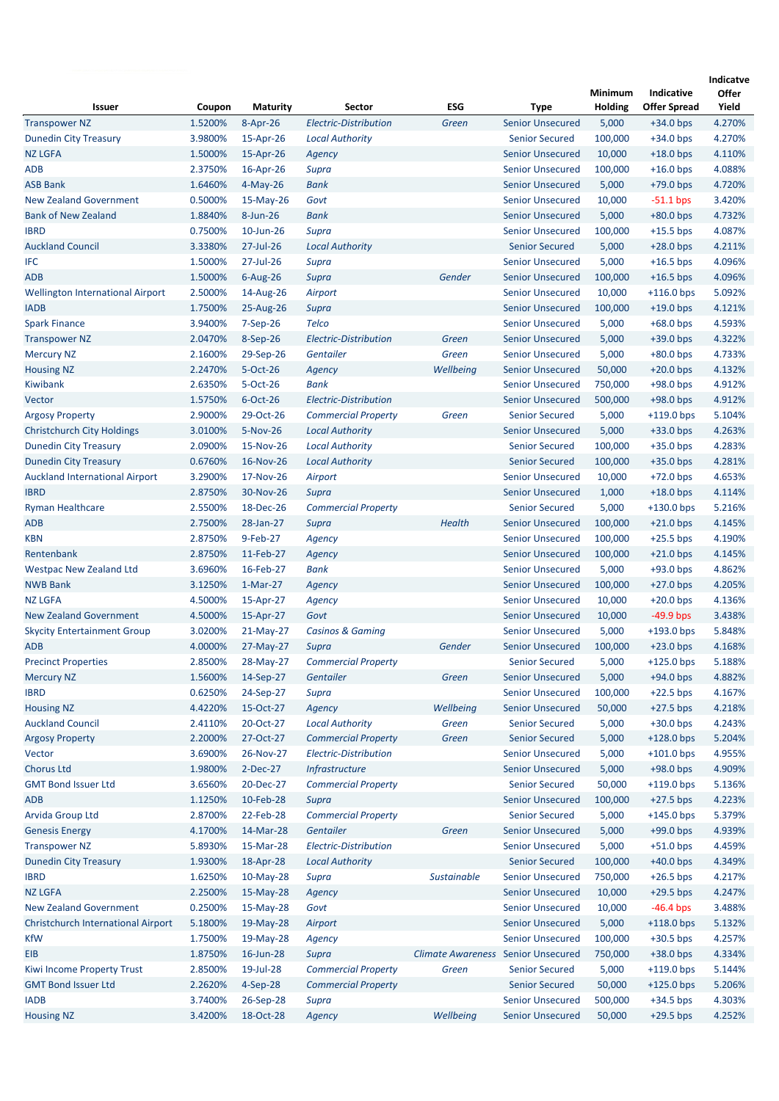| <b>Issuer</b>                             | Coupon             | <b>Maturity</b>       | Sector                                  | ESG                                       | Type                                               | Minimum<br>Holding | Indicative<br><b>Offer Spread</b> | Indicatve<br><b>Offer</b><br>Yield |
|-------------------------------------------|--------------------|-----------------------|-----------------------------------------|-------------------------------------------|----------------------------------------------------|--------------------|-----------------------------------|------------------------------------|
| <b>Transpower NZ</b>                      | 1.5200%            | 8-Apr-26              | <b>Electric-Distribution</b>            | Green                                     | <b>Senior Unsecured</b>                            | 5,000              | $+34.0$ bps                       | 4.270%                             |
| <b>Dunedin City Treasury</b>              | 3.9800%            | 15-Apr-26             | <b>Local Authority</b>                  |                                           | <b>Senior Secured</b>                              | 100,000            | $+34.0$ bps                       | 4.270%                             |
| <b>NZ LGFA</b>                            | 1.5000%            | 15-Apr-26             | Agency                                  |                                           | <b>Senior Unsecured</b>                            | 10,000             | $+18.0$ bps                       | 4.110%                             |
| <b>ADB</b>                                | 2.3750%            | 16-Apr-26             | Supra                                   |                                           | <b>Senior Unsecured</b>                            | 100,000            | $+16.0$ bps                       | 4.088%                             |
| <b>ASB Bank</b>                           | 1.6460%            | $4-May-26$            | Bank                                    |                                           | <b>Senior Unsecured</b>                            | 5,000              | $+79.0$ bps                       | 4.720%                             |
| <b>New Zealand Government</b>             | 0.5000%            | $15-May-26$           | Govt                                    |                                           | <b>Senior Unsecured</b>                            | 10,000             | $-51.1$ bps                       | 3.420%                             |
| <b>Bank of New Zealand</b>                | 1.8840%            | $8 - Jun-26$          | <b>Bank</b>                             |                                           | <b>Senior Unsecured</b>                            | 5,000              | $+80.0$ bps                       | 4.732%                             |
| <b>IBRD</b>                               | 0.7500%            | 10-Jun-26             | Supra                                   |                                           | <b>Senior Unsecured</b>                            | 100,000            | $+15.5$ bps                       | 4.087%                             |
| <b>Auckland Council</b>                   | 3.3380%            | 27-Jul-26             | <b>Local Authority</b>                  |                                           | <b>Senior Secured</b>                              | 5,000              | $+28.0$ bps                       | 4.211%                             |
| IFC                                       | 1.5000%            | 27-Jul-26             | Supra                                   |                                           | <b>Senior Unsecured</b>                            | 5,000              | $+16.5$ bps                       | 4.096%                             |
| <b>ADB</b>                                | 1.5000%            | $6$ -Aug-26           | Supra                                   | Gender                                    | <b>Senior Unsecured</b>                            | 100,000            | $+16.5$ bps                       | 4.096%                             |
| <b>Wellington International Airport</b>   | 2.5000%            | 14-Aug-26             | Airport                                 |                                           | <b>Senior Unsecured</b>                            | 10,000             | $+116.0$ bps                      | 5.092%                             |
| <b>IADB</b>                               | 1.7500%            | 25-Aug-26             | Supra                                   |                                           | <b>Senior Unsecured</b>                            | 100,000            | $+19.0$ bps                       | 4.121%                             |
| <b>Spark Finance</b>                      | 3.9400%            | $7-Sep-26$            | <b>Telco</b>                            |                                           | <b>Senior Unsecured</b>                            | 5,000              | $+68.0$ bps                       | 4.593%                             |
| <b>Transpower NZ</b>                      | 2.0470%            | 8-Sep-26              | <b>Electric-Distribution</b>            | Green                                     | <b>Senior Unsecured</b>                            | 5,000              | $+39.0$ bps                       | 4.322%                             |
| <b>Mercury NZ</b>                         | 2.1600%            | 29-Sep-26             | Gentailer                               | Green                                     | <b>Senior Unsecured</b>                            | 5,000              | $+80.0$ bps                       | 4.733%                             |
| <b>Housing NZ</b>                         | 2.2470%            | 5-Oct-26              | Agency                                  | Wellbeing                                 | <b>Senior Unsecured</b>                            | 50,000             | $+20.0$ bps                       | 4.132%                             |
| Kiwibank                                  | 2.6350%            | 5-Oct-26              | <b>Bank</b>                             |                                           | <b>Senior Unsecured</b>                            | 750,000            | $+98.0$ bps                       | 4.912%                             |
| Vector                                    | 1.5750%            | $6$ -Oct-26           | Electric-Distribution                   |                                           | <b>Senior Unsecured</b>                            | 500,000            | $+98.0$ bps                       | 4.912%                             |
| <b>Argosy Property</b>                    | 2.9000%            | 29-Oct-26             | <b>Commercial Property</b>              | Green                                     | <b>Senior Secured</b>                              | 5,000              | $+119.0$ bps                      | 5.104%                             |
| <b>Christchurch City Holdings</b>         | 3.0100%            | 5-Nov-26              | <b>Local Authority</b>                  |                                           | <b>Senior Unsecured</b>                            | 5,000              | $+33.0$ bps                       | 4.263%                             |
| <b>Dunedin City Treasury</b>              | 2.0900%            | 15-Nov-26             | <b>Local Authority</b>                  |                                           | <b>Senior Secured</b>                              | 100,000            | $+35.0$ bps                       | 4.283%                             |
| <b>Dunedin City Treasury</b>              | 0.6760%            | 16-Nov-26             | <b>Local Authority</b>                  |                                           | <b>Senior Secured</b>                              | 100,000            | $+35.0$ bps                       | 4.281%                             |
| <b>Auckland International Airport</b>     | 3.2900%            | 17-Nov-26             | Airport                                 |                                           | <b>Senior Unsecured</b>                            | 10,000             | $+72.0$ bps                       | 4.653%                             |
| <b>IBRD</b>                               | 2.8750%            | 30-Nov-26             | Supra                                   |                                           | <b>Senior Unsecured</b>                            | 1,000              | $+18.0$ bps                       | 4.114%                             |
| <b>Ryman Healthcare</b>                   | 2.5500%            | 18-Dec-26             | <b>Commercial Property</b>              |                                           | <b>Senior Secured</b>                              | 5,000              | $+130.0$ bps                      | 5.216%                             |
| <b>ADB</b>                                | 2.7500%            | 28-Jan-27             | Supra                                   | <b>Health</b>                             | <b>Senior Unsecured</b>                            | 100,000            | $+21.0$ bps                       | 4.145%                             |
| <b>KBN</b>                                | 2.8750%            | 9-Feb-27              | Agency                                  |                                           | <b>Senior Unsecured</b>                            | 100,000            | $+25.5$ bps                       | 4.190%                             |
| Rentenbank                                | 2.8750%            | 11-Feb-27             | Agency                                  |                                           | <b>Senior Unsecured</b>                            | 100,000            | $+21.0$ bps                       | 4.145%                             |
| <b>Westpac New Zealand Ltd</b>            | 3.6960%            | 16-Feb-27             | <b>Bank</b>                             |                                           | <b>Senior Unsecured</b>                            | 5,000              | $+93.0$ bps                       | 4.862%                             |
| <b>NWB Bank</b>                           | 3.1250%            | 1-Mar-27              | Agency                                  |                                           | <b>Senior Unsecured</b>                            | 100,000            | $+27.0$ bps                       | 4.205%                             |
| <b>NZ LGFA</b>                            | 4.5000%            | 15-Apr-27             | Agency                                  |                                           | <b>Senior Unsecured</b>                            | 10,000             | $+20.0$ bps                       | 4.136%                             |
| <b>New Zealand Government</b>             | 4.5000%            | 15-Apr-27             | Govt                                    |                                           | <b>Senior Unsecured</b>                            | 10,000             | $-49.9$ bps                       | 3.438%                             |
| <b>Skycity Entertainment Group</b>        | 3.0200%            | 21-May-27             | <b>Casinos &amp; Gaming</b>             |                                           | <b>Senior Unsecured</b>                            | 5,000              | $+193.0$ bps                      | 5.848%                             |
| <b>ADB</b>                                | 4.0000%            | 27-May-27             | Supra                                   | Gender                                    | <b>Senior Unsecured</b>                            | 100,000            | $+23.0$ bps                       | 4.168%                             |
| <b>Precinct Properties</b>                | 2.8500%            | 28-May-27             | <b>Commercial Property</b>              |                                           | <b>Senior Secured</b>                              | 5,000              | $+125.0$ bps                      | 5.188%                             |
| <b>Mercury NZ</b>                         | 1.5600%            | 14-Sep-27             | Gentailer                               | Green                                     | <b>Senior Unsecured</b>                            | 5,000              | $+94.0$ bps                       | 4.882%                             |
| <b>IBRD</b>                               | 0.6250%            | 24-Sep-27             | Supra                                   |                                           | <b>Senior Unsecured</b>                            | 100,000            | $+22.5$ bps                       | 4.167%                             |
| <b>Housing NZ</b>                         | 4.4220%            | 15-Oct-27             | Agency                                  | Wellbeing                                 | <b>Senior Unsecured</b>                            | 50,000             | $+27.5$ bps                       | 4.218%                             |
| <b>Auckland Council</b>                   | 2.4110%            | 20-Oct-27             | <b>Local Authority</b>                  | Green                                     | <b>Senior Secured</b>                              | 5,000              | $+30.0$ bps                       | 4.243%                             |
| <b>Argosy Property</b>                    | 2.2000%            | 27-Oct-27             | <b>Commercial Property</b>              | Green                                     | <b>Senior Secured</b>                              | 5,000              | $+128.0$ bps                      | 5.204%                             |
| Vector<br><b>Chorus Ltd</b>               | 3.6900%<br>1.9800% | 26-Nov-27<br>2-Dec-27 | Electric-Distribution<br>Infrastructure |                                           | <b>Senior Unsecured</b><br><b>Senior Unsecured</b> | 5,000<br>5,000     | $+101.0$ bps<br>$+98.0$ bps       | 4.955%<br>4.909%                   |
| <b>GMT Bond Issuer Ltd</b>                | 3.6560%            | 20-Dec-27             | <b>Commercial Property</b>              |                                           | <b>Senior Secured</b>                              | 50,000             | $+119.0$ bps                      | 5.136%                             |
| <b>ADB</b>                                | 1.1250%            | 10-Feb-28             | Supra                                   |                                           | <b>Senior Unsecured</b>                            | 100,000            | $+27.5$ bps                       | 4.223%                             |
| Arvida Group Ltd                          | 2.8700%            | 22-Feb-28             | <b>Commercial Property</b>              |                                           | <b>Senior Secured</b>                              | 5,000              | $+145.0$ bps                      | 5.379%                             |
| <b>Genesis Energy</b>                     | 4.1700%            | 14-Mar-28             | Gentailer                               | Green                                     | <b>Senior Unsecured</b>                            | 5,000              | $+99.0$ bps                       | 4.939%                             |
| <b>Transpower NZ</b>                      | 5.8930%            | 15-Mar-28             | Electric-Distribution                   |                                           | <b>Senior Unsecured</b>                            | 5,000              | $+51.0$ bps                       | 4.459%                             |
| <b>Dunedin City Treasury</b>              | 1.9300%            | 18-Apr-28             | <b>Local Authority</b>                  |                                           | <b>Senior Secured</b>                              | 100,000            | $+40.0$ bps                       | 4.349%                             |
| <b>IBRD</b>                               | 1.6250%            | 10-May-28             | Supra                                   | Sustainable                               | <b>Senior Unsecured</b>                            | 750,000            | $+26.5$ bps                       | 4.217%                             |
| <b>NZ LGFA</b>                            | 2.2500%            | 15-May-28             | Agency                                  |                                           | <b>Senior Unsecured</b>                            | 10,000             | $+29.5$ bps                       | 4.247%                             |
| <b>New Zealand Government</b>             | 0.2500%            | 15-May-28             | Govt                                    |                                           | <b>Senior Unsecured</b>                            | 10,000             | $-46.4$ bps                       | 3.488%                             |
| <b>Christchurch International Airport</b> | 5.1800%            | 19-May-28             | Airport                                 |                                           | <b>Senior Unsecured</b>                            | 5,000              | $+118.0$ bps                      | 5.132%                             |
| <b>KfW</b>                                | 1.7500%            | 19-May-28             | Agency                                  |                                           | <b>Senior Unsecured</b>                            | 100,000            | $+30.5$ bps                       | 4.257%                             |
| EIB                                       | 1.8750%            | 16-Jun-28             | Supra                                   | <b>Climate Awareness</b> Senior Unsecured |                                                    | 750,000            | $+38.0$ bps                       | 4.334%                             |
| Kiwi Income Property Trust                | 2.8500%            | 19-Jul-28             | <b>Commercial Property</b>              | Green                                     | <b>Senior Secured</b>                              | 5,000              | $+119.0$ bps                      | 5.144%                             |
| <b>GMT Bond Issuer Ltd</b>                | 2.2620%            | $4-Sep-28$            | <b>Commercial Property</b>              |                                           | <b>Senior Secured</b>                              | 50,000             | $+125.0$ bps                      | 5.206%                             |
| <b>IADB</b>                               | 3.7400%            | 26-Sep-28             | Supra                                   |                                           | <b>Senior Unsecured</b>                            | 500,000            | $+34.5$ bps                       | 4.303%                             |
| <b>Housing NZ</b>                         | 3.4200%            | 18-Oct-28             | Agency                                  | Wellbeing                                 | <b>Senior Unsecured</b>                            | 50,000             | $+29.5$ bps                       | 4.252%                             |
|                                           |                    |                       |                                         |                                           |                                                    |                    |                                   |                                    |